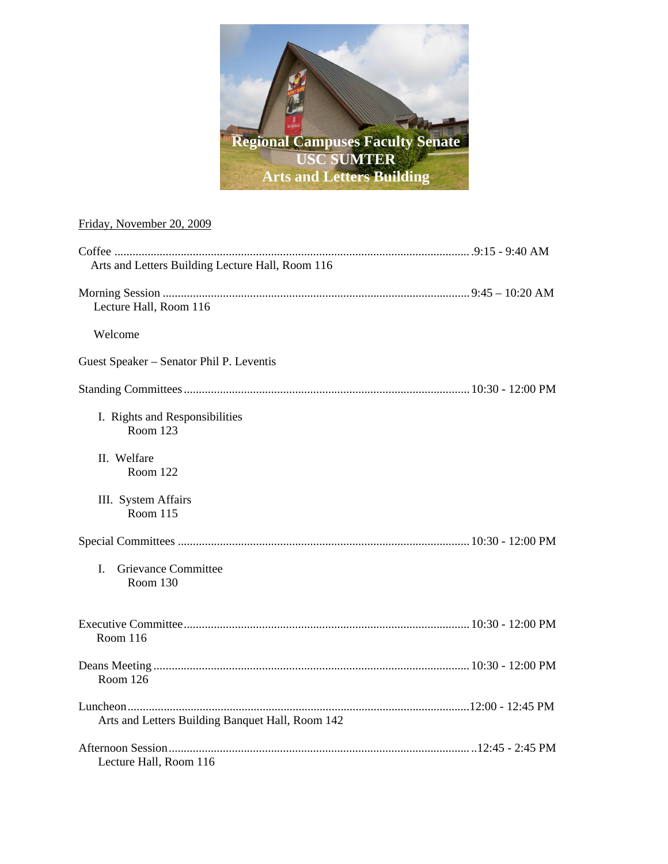

# Friday, November 20, 2009

| Arts and Letters Building Lecture Hall, Room 116 |  |
|--------------------------------------------------|--|
| Lecture Hall, Room 116                           |  |
| Welcome                                          |  |
| Guest Speaker - Senator Phil P. Leventis         |  |
|                                                  |  |
| I. Rights and Responsibilities<br>Room 123       |  |
| II. Welfare<br>Room 122                          |  |
| III. System Affairs<br>Room 115                  |  |
|                                                  |  |
| Grievance Committee<br>I.<br>Room 130            |  |
| Room 116                                         |  |
| Room 126                                         |  |
| Arts and Letters Building Banquet Hall, Room 142 |  |
| Lecture Hall, Room 116                           |  |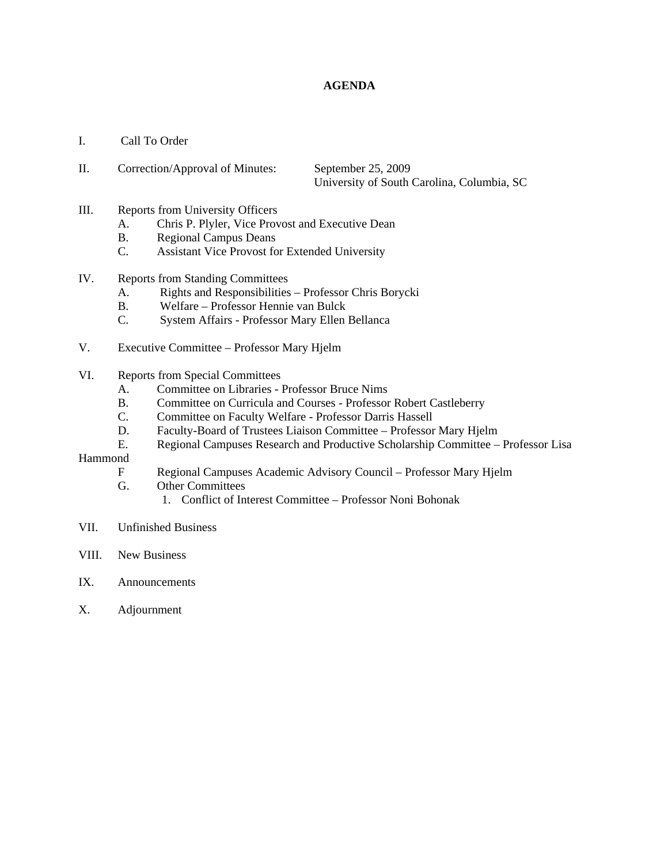# **AGENDA**

- I. Call To Order
- II. Correction/Approval of Minutes: September 25, 2009 University of South Carolina, Columbia, SC
- III. Reports from University Officers
	- A. Chris P. Plyler, Vice Provost and Executive Dean
	- B. Regional Campus Deans
	- C. Assistant Vice Provost for Extended University
- IV. Reports from Standing Committees
	- A. Rights and Responsibilities Professor Chris Borycki
	- B. Welfare Professor Hennie van Bulck
	- C. System Affairs Professor Mary Ellen Bellanca
- V. Executive Committee Professor Mary Hjelm
- VI. Reports from Special Committees
	- A. Committee on Libraries Professor Bruce Nims
	- B. Committee on Curricula and Courses Professor Robert Castleberry
	- C. Committee on Faculty Welfare Professor Darris Hassell
	- D. Faculty-Board of Trustees Liaison Committee Professor Mary Hjelm
	- E. Regional Campuses Research and Productive Scholarship Committee Professor Lisa

### Hammond

- F Regional Campuses Academic Advisory Council Professor Mary Hjelm
- G. Other Committees
	- 1. Conflict of Interest Committee Professor Noni Bohonak
- VII. Unfinished Business
- VIII. New Business
- IX. Announcements
- X. Adjournment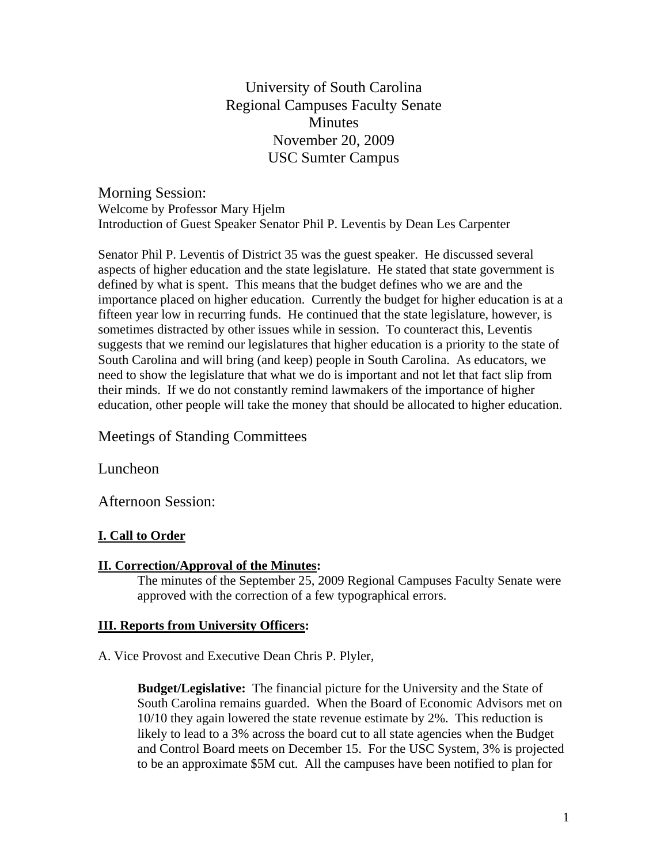University of South Carolina Regional Campuses Faculty Senate **Minutes** November 20, 2009 USC Sumter Campus

Morning Session: Welcome by Professor Mary Hjelm Introduction of Guest Speaker Senator Phil P. Leventis by Dean Les Carpenter

Senator Phil P. Leventis of District 35 was the guest speaker. He discussed several aspects of higher education and the state legislature. He stated that state government is defined by what is spent. This means that the budget defines who we are and the importance placed on higher education. Currently the budget for higher education is at a fifteen year low in recurring funds. He continued that the state legislature, however, is sometimes distracted by other issues while in session. To counteract this, Leventis suggests that we remind our legislatures that higher education is a priority to the state of South Carolina and will bring (and keep) people in South Carolina. As educators, we need to show the legislature that what we do is important and not let that fact slip from their minds. If we do not constantly remind lawmakers of the importance of higher education, other people will take the money that should be allocated to higher education.

Meetings of Standing Committees

Luncheon

Afternoon Session:

# **I. Call to Order**

# **II. Correction/Approval of the Minutes:**

 The minutes of the September 25, 2009 Regional Campuses Faculty Senate were approved with the correction of a few typographical errors.

# **III. Reports from University Officers:**

A. Vice Provost and Executive Dean Chris P. Plyler,

**Budget/Legislative:** The financial picture for the University and the State of South Carolina remains guarded. When the Board of Economic Advisors met on 10/10 they again lowered the state revenue estimate by 2%. This reduction is likely to lead to a 3% across the board cut to all state agencies when the Budget and Control Board meets on December 15. For the USC System, 3% is projected to be an approximate \$5M cut. All the campuses have been notified to plan for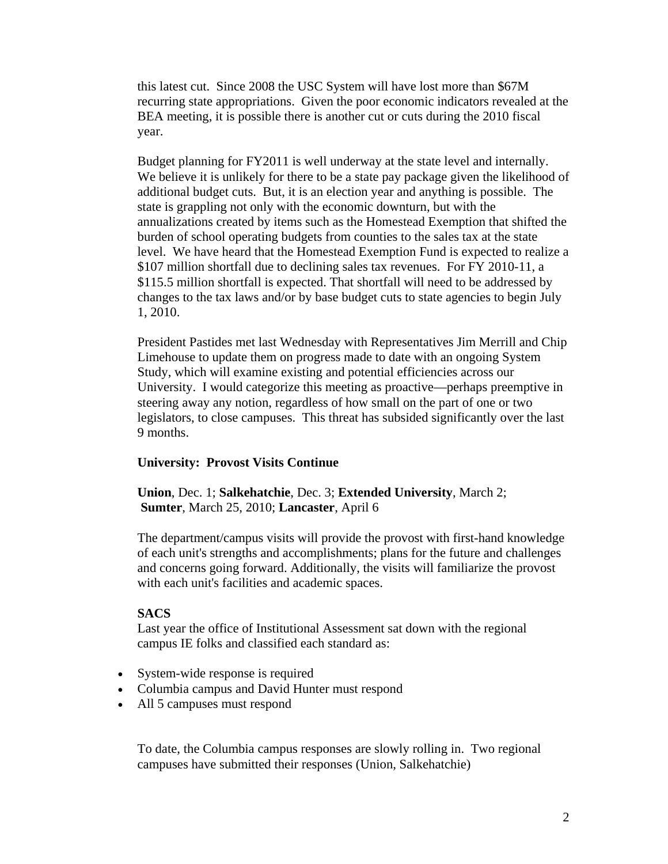this latest cut. Since 2008 the USC System will have lost more than \$67M recurring state appropriations. Given the poor economic indicators revealed at the BEA meeting, it is possible there is another cut or cuts during the 2010 fiscal year.

Budget planning for FY2011 is well underway at the state level and internally. We believe it is unlikely for there to be a state pay package given the likelihood of additional budget cuts. But, it is an election year and anything is possible. The state is grappling not only with the economic downturn, but with the annualizations created by items such as the Homestead Exemption that shifted the burden of school operating budgets from counties to the sales tax at the state level. We have heard that the Homestead Exemption Fund is expected to realize a \$107 million shortfall due to declining sales tax revenues. For FY 2010-11, a \$115.5 million shortfall is expected. That shortfall will need to be addressed by changes to the tax laws and/or by base budget cuts to state agencies to begin July 1, 2010.

President Pastides met last Wednesday with Representatives Jim Merrill and Chip Limehouse to update them on progress made to date with an ongoing System Study, which will examine existing and potential efficiencies across our University. I would categorize this meeting as proactive—perhaps preemptive in steering away any notion, regardless of how small on the part of one or two legislators, to close campuses. This threat has subsided significantly over the last 9 months.

# **University: Provost Visits Continue**

**Union**, Dec. 1; **Salkehatchie**, Dec. 3; **Extended University**, March 2; **Sumter**, March 25, 2010; **Lancaster**, April 6

The department/campus visits will provide the provost with first-hand knowledge of each unit's strengths and accomplishments; plans for the future and challenges and concerns going forward. Additionally, the visits will familiarize the provost with each unit's facilities and academic spaces.

# **SACS**

Last year the office of Institutional Assessment sat down with the regional campus IE folks and classified each standard as:

- System-wide response is required
- Columbia campus and David Hunter must respond
- All 5 campuses must respond

To date, the Columbia campus responses are slowly rolling in. Two regional campuses have submitted their responses (Union, Salkehatchie)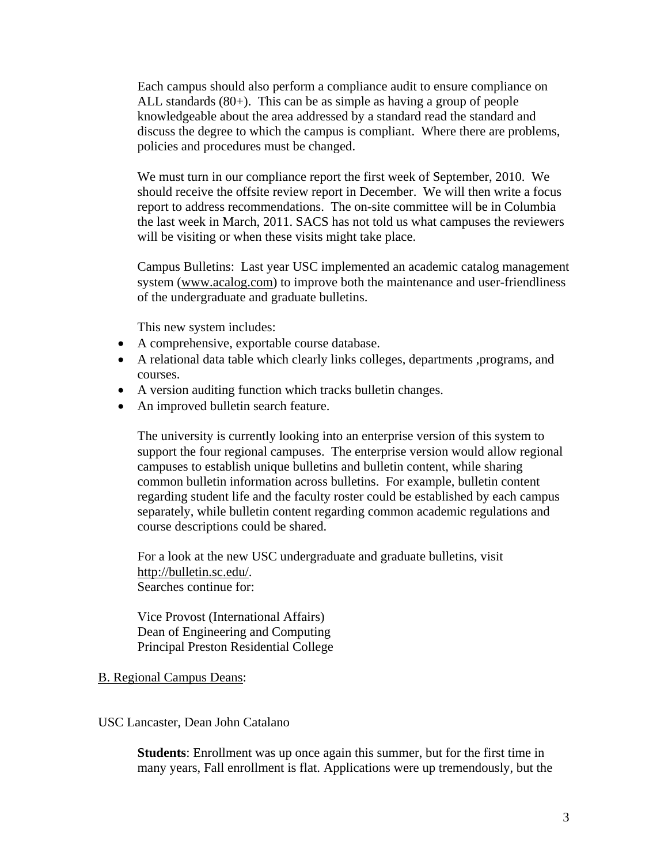Each campus should also perform a compliance audit to ensure compliance on ALL standards (80+). This can be as simple as having a group of people knowledgeable about the area addressed by a standard read the standard and discuss the degree to which the campus is compliant. Where there are problems, policies and procedures must be changed.

We must turn in our compliance report the first week of September, 2010. We should receive the offsite review report in December. We will then write a focus report to address recommendations. The on-site committee will be in Columbia the last week in March, 2011. SACS has not told us what campuses the reviewers will be visiting or when these visits might take place.

Campus Bulletins: Last year USC implemented an academic catalog management system (www.acalog.com) to improve both the maintenance and user-friendliness of the undergraduate and graduate bulletins.

This new system includes:

- A comprehensive, exportable course database.
- A relational data table which clearly links colleges, departments ,programs, and courses.
- A version auditing function which tracks bulletin changes.
- An improved bulletin search feature.

The university is currently looking into an enterprise version of this system to support the four regional campuses. The enterprise version would allow regional campuses to establish unique bulletins and bulletin content, while sharing common bulletin information across bulletins. For example, bulletin content regarding student life and the faculty roster could be established by each campus separately, while bulletin content regarding common academic regulations and course descriptions could be shared.

For a look at the new USC undergraduate and graduate bulletins, visit http://bulletin.sc.edu/. Searches continue for:

Vice Provost (International Affairs) Dean of Engineering and Computing Principal Preston Residential College

# B. Regional Campus Deans:

# USC Lancaster, Dean John Catalano

**Students**: Enrollment was up once again this summer, but for the first time in many years, Fall enrollment is flat. Applications were up tremendously, but the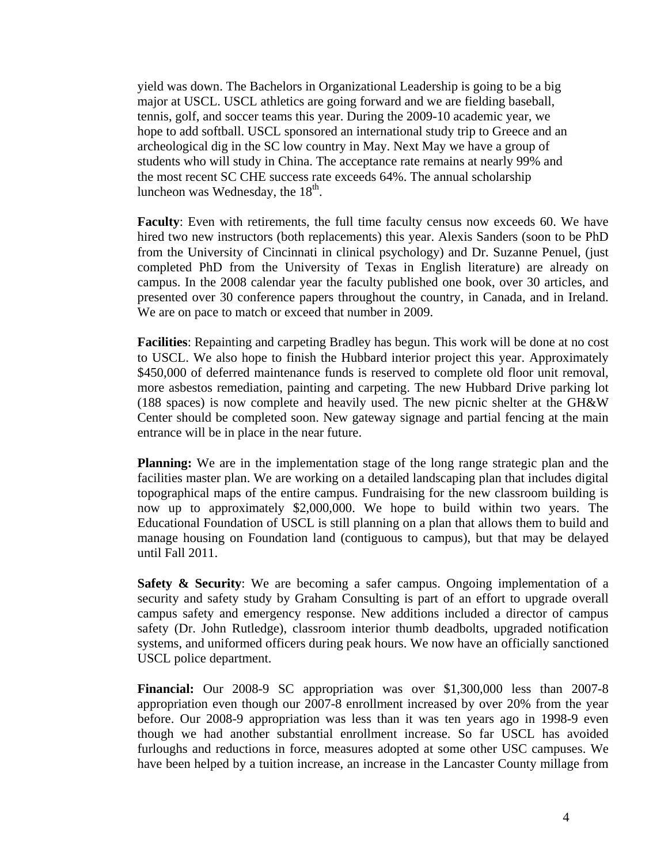yield was down. The Bachelors in Organizational Leadership is going to be a big major at USCL. USCL athletics are going forward and we are fielding baseball, tennis, golf, and soccer teams this year. During the 2009-10 academic year, we hope to add softball. USCL sponsored an international study trip to Greece and an archeological dig in the SC low country in May. Next May we have a group of students who will study in China. The acceptance rate remains at nearly 99% and the most recent SC CHE success rate exceeds 64%. The annual scholarship luncheon was Wednesday, the  $18<sup>th</sup>$ .

**Faculty**: Even with retirements, the full time faculty census now exceeds 60. We have hired two new instructors (both replacements) this year. Alexis Sanders (soon to be PhD from the University of Cincinnati in clinical psychology) and Dr. Suzanne Penuel, (just completed PhD from the University of Texas in English literature) are already on campus. In the 2008 calendar year the faculty published one book, over 30 articles, and presented over 30 conference papers throughout the country, in Canada, and in Ireland. We are on pace to match or exceed that number in 2009.

**Facilities**: Repainting and carpeting Bradley has begun. This work will be done at no cost to USCL. We also hope to finish the Hubbard interior project this year. Approximately \$450,000 of deferred maintenance funds is reserved to complete old floor unit removal, more asbestos remediation, painting and carpeting. The new Hubbard Drive parking lot (188 spaces) is now complete and heavily used. The new picnic shelter at the GH&W Center should be completed soon. New gateway signage and partial fencing at the main entrance will be in place in the near future.

**Planning:** We are in the implementation stage of the long range strategic plan and the facilities master plan. We are working on a detailed landscaping plan that includes digital topographical maps of the entire campus. Fundraising for the new classroom building is now up to approximately \$2,000,000. We hope to build within two years. The Educational Foundation of USCL is still planning on a plan that allows them to build and manage housing on Foundation land (contiguous to campus), but that may be delayed until Fall 2011.

**Safety & Security:** We are becoming a safer campus. Ongoing implementation of a security and safety study by Graham Consulting is part of an effort to upgrade overall campus safety and emergency response. New additions included a director of campus safety (Dr. John Rutledge), classroom interior thumb deadbolts, upgraded notification systems, and uniformed officers during peak hours. We now have an officially sanctioned USCL police department.

**Financial:** Our 2008-9 SC appropriation was over \$1,300,000 less than 2007-8 appropriation even though our 2007-8 enrollment increased by over 20% from the year before. Our 2008-9 appropriation was less than it was ten years ago in 1998-9 even though we had another substantial enrollment increase. So far USCL has avoided furloughs and reductions in force, measures adopted at some other USC campuses. We have been helped by a tuition increase, an increase in the Lancaster County millage from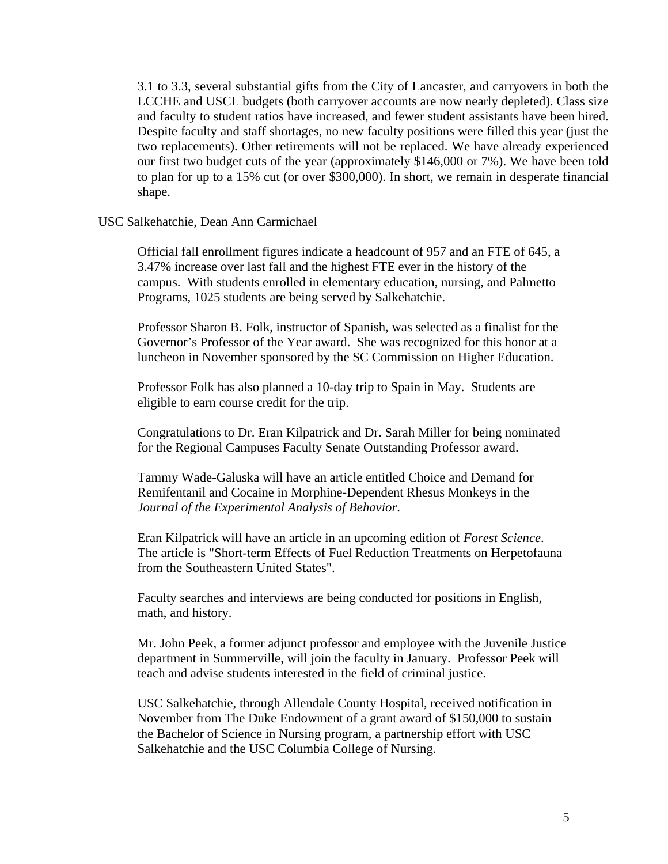3.1 to 3.3, several substantial gifts from the City of Lancaster, and carryovers in both the LCCHE and USCL budgets (both carryover accounts are now nearly depleted). Class size and faculty to student ratios have increased, and fewer student assistants have been hired. Despite faculty and staff shortages, no new faculty positions were filled this year (just the two replacements). Other retirements will not be replaced. We have already experienced our first two budget cuts of the year (approximately \$146,000 or 7%). We have been told to plan for up to a 15% cut (or over \$300,000). In short, we remain in desperate financial shape.

#### USC Salkehatchie, Dean Ann Carmichael

Official fall enrollment figures indicate a headcount of 957 and an FTE of 645, a 3.47% increase over last fall and the highest FTE ever in the history of the campus. With students enrolled in elementary education, nursing, and Palmetto Programs, 1025 students are being served by Salkehatchie.

Professor Sharon B. Folk, instructor of Spanish, was selected as a finalist for the Governor's Professor of the Year award. She was recognized for this honor at a luncheon in November sponsored by the SC Commission on Higher Education.

Professor Folk has also planned a 10-day trip to Spain in May. Students are eligible to earn course credit for the trip.

Congratulations to Dr. Eran Kilpatrick and Dr. Sarah Miller for being nominated for the Regional Campuses Faculty Senate Outstanding Professor award.

Tammy Wade-Galuska will have an article entitled Choice and Demand for Remifentanil and Cocaine in Morphine-Dependent Rhesus Monkeys in the *Journal of the Experimental Analysis of Behavior*.

Eran Kilpatrick will have an article in an upcoming edition of *Forest Science*. The article is "Short-term Effects of Fuel Reduction Treatments on Herpetofauna from the Southeastern United States".

Faculty searches and interviews are being conducted for positions in English, math, and history.

Mr. John Peek, a former adjunct professor and employee with the Juvenile Justice department in Summerville, will join the faculty in January. Professor Peek will teach and advise students interested in the field of criminal justice.

USC Salkehatchie, through Allendale County Hospital, received notification in November from The Duke Endowment of a grant award of \$150,000 to sustain the Bachelor of Science in Nursing program, a partnership effort with USC Salkehatchie and the USC Columbia College of Nursing.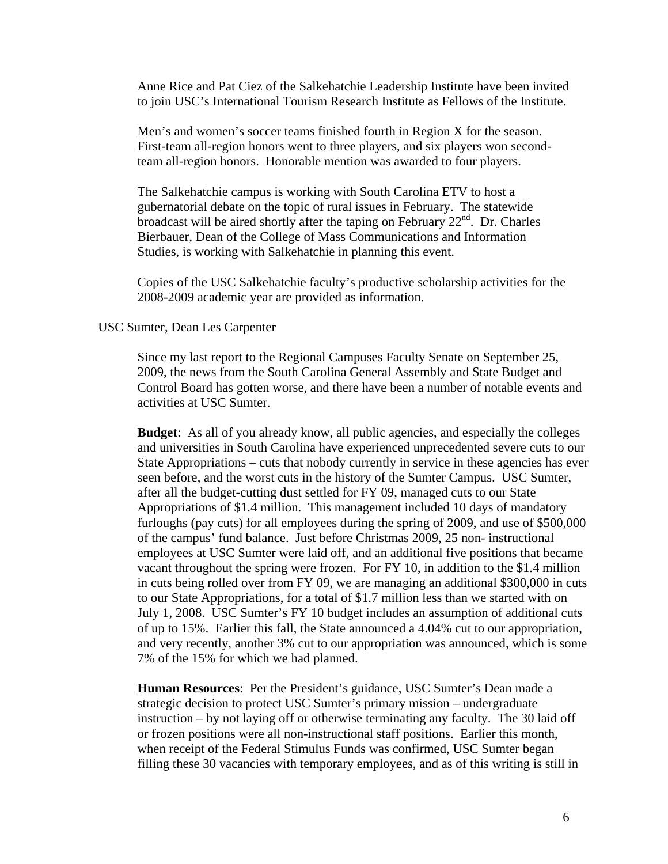Anne Rice and Pat Ciez of the Salkehatchie Leadership Institute have been invited to join USC's International Tourism Research Institute as Fellows of the Institute.

Men's and women's soccer teams finished fourth in Region X for the season. First-team all-region honors went to three players, and six players won secondteam all-region honors. Honorable mention was awarded to four players.

The Salkehatchie campus is working with South Carolina ETV to host a gubernatorial debate on the topic of rural issues in February. The statewide broadcast will be aired shortly after the taping on February  $22<sup>nd</sup>$ . Dr. Charles Bierbauer, Dean of the College of Mass Communications and Information Studies, is working with Salkehatchie in planning this event.

Copies of the USC Salkehatchie faculty's productive scholarship activities for the 2008-2009 academic year are provided as information.

# USC Sumter, Dean Les Carpenter

Since my last report to the Regional Campuses Faculty Senate on September 25, 2009, the news from the South Carolina General Assembly and State Budget and Control Board has gotten worse, and there have been a number of notable events and activities at USC Sumter.

**Budget**: As all of you already know, all public agencies, and especially the colleges and universities in South Carolina have experienced unprecedented severe cuts to our State Appropriations – cuts that nobody currently in service in these agencies has ever seen before, and the worst cuts in the history of the Sumter Campus. USC Sumter, after all the budget-cutting dust settled for FY 09, managed cuts to our State Appropriations of \$1.4 million. This management included 10 days of mandatory furloughs (pay cuts) for all employees during the spring of 2009, and use of \$500,000 of the campus' fund balance. Just before Christmas 2009, 25 non- instructional employees at USC Sumter were laid off, and an additional five positions that became vacant throughout the spring were frozen. For FY 10, in addition to the \$1.4 million in cuts being rolled over from FY 09, we are managing an additional \$300,000 in cuts to our State Appropriations, for a total of \$1.7 million less than we started with on July 1, 2008. USC Sumter's FY 10 budget includes an assumption of additional cuts of up to 15%. Earlier this fall, the State announced a 4.04% cut to our appropriation, and very recently, another 3% cut to our appropriation was announced, which is some 7% of the 15% for which we had planned.

**Human Resources**: Per the President's guidance, USC Sumter's Dean made a strategic decision to protect USC Sumter's primary mission – undergraduate instruction – by not laying off or otherwise terminating any faculty. The 30 laid off or frozen positions were all non-instructional staff positions. Earlier this month, when receipt of the Federal Stimulus Funds was confirmed, USC Sumter began filling these 30 vacancies with temporary employees, and as of this writing is still in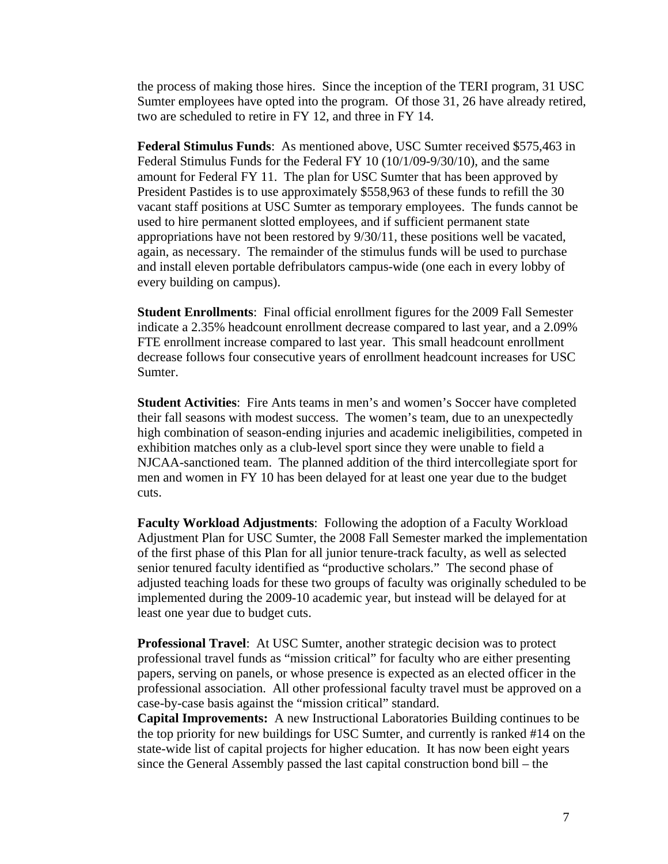the process of making those hires. Since the inception of the TERI program, 31 USC Sumter employees have opted into the program. Of those 31, 26 have already retired, two are scheduled to retire in FY 12, and three in FY 14.

**Federal Stimulus Funds**: As mentioned above, USC Sumter received \$575,463 in Federal Stimulus Funds for the Federal FY 10 (10/1/09-9/30/10), and the same amount for Federal FY 11. The plan for USC Sumter that has been approved by President Pastides is to use approximately \$558,963 of these funds to refill the 30 vacant staff positions at USC Sumter as temporary employees. The funds cannot be used to hire permanent slotted employees, and if sufficient permanent state appropriations have not been restored by 9/30/11, these positions well be vacated, again, as necessary. The remainder of the stimulus funds will be used to purchase and install eleven portable defribulators campus-wide (one each in every lobby of every building on campus).

**Student Enrollments**: Final official enrollment figures for the 2009 Fall Semester indicate a 2.35% headcount enrollment decrease compared to last year, and a 2.09% FTE enrollment increase compared to last year. This small headcount enrollment decrease follows four consecutive years of enrollment headcount increases for USC Sumter.

**Student Activities**: Fire Ants teams in men's and women's Soccer have completed their fall seasons with modest success. The women's team, due to an unexpectedly high combination of season-ending injuries and academic ineligibilities, competed in exhibition matches only as a club-level sport since they were unable to field a NJCAA-sanctioned team. The planned addition of the third intercollegiate sport for men and women in FY 10 has been delayed for at least one year due to the budget cuts.

**Faculty Workload Adjustments**: Following the adoption of a Faculty Workload Adjustment Plan for USC Sumter, the 2008 Fall Semester marked the implementation of the first phase of this Plan for all junior tenure-track faculty, as well as selected senior tenured faculty identified as "productive scholars." The second phase of adjusted teaching loads for these two groups of faculty was originally scheduled to be implemented during the 2009-10 academic year, but instead will be delayed for at least one year due to budget cuts.

**Professional Travel**: At USC Sumter, another strategic decision was to protect professional travel funds as "mission critical" for faculty who are either presenting papers, serving on panels, or whose presence is expected as an elected officer in the professional association. All other professional faculty travel must be approved on a case-by-case basis against the "mission critical" standard.

**Capital Improvements:** A new Instructional Laboratories Building continues to be the top priority for new buildings for USC Sumter, and currently is ranked #14 on the state-wide list of capital projects for higher education. It has now been eight years since the General Assembly passed the last capital construction bond bill – the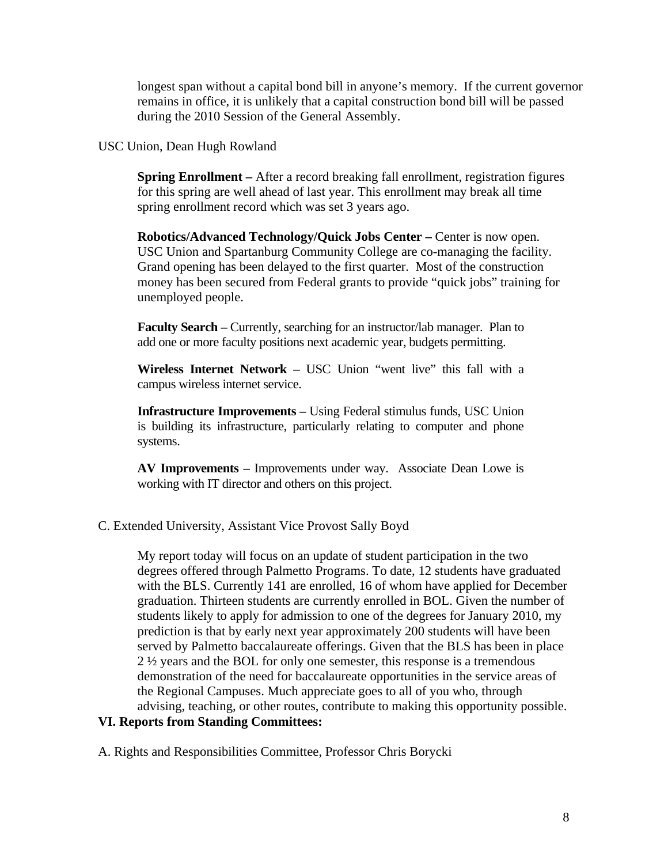longest span without a capital bond bill in anyone's memory. If the current governor remains in office, it is unlikely that a capital construction bond bill will be passed during the 2010 Session of the General Assembly.

# USC Union, Dean Hugh Rowland

**Spring Enrollment –** After a record breaking fall enrollment, registration figures for this spring are well ahead of last year. This enrollment may break all time spring enrollment record which was set 3 years ago.

**Robotics/Advanced Technology/Quick Jobs Center – Center is now open.** USC Union and Spartanburg Community College are co-managing the facility. Grand opening has been delayed to the first quarter. Most of the construction money has been secured from Federal grants to provide "quick jobs" training for unemployed people.

**Faculty Search – Currently, searching for an instructor/lab manager. Plan to** add one or more faculty positions next academic year, budgets permitting.

**Wireless Internet Network –** USC Union "went live" this fall with a campus wireless internet service.

**Infrastructure Improvements –** Using Federal stimulus funds, USC Union is building its infrastructure, particularly relating to computer and phone systems.

**AV Improvements –** Improvements under way. Associate Dean Lowe is working with IT director and others on this project.

# C. Extended University, Assistant Vice Provost Sally Boyd

My report today will focus on an update of student participation in the two degrees offered through Palmetto Programs. To date, 12 students have graduated with the BLS. Currently 141 are enrolled, 16 of whom have applied for December graduation. Thirteen students are currently enrolled in BOL. Given the number of students likely to apply for admission to one of the degrees for January 2010, my prediction is that by early next year approximately 200 students will have been served by Palmetto baccalaureate offerings. Given that the BLS has been in place 2 ½ years and the BOL for only one semester, this response is a tremendous demonstration of the need for baccalaureate opportunities in the service areas of the Regional Campuses. Much appreciate goes to all of you who, through advising, teaching, or other routes, contribute to making this opportunity possible.

# **VI. Reports from Standing Committees:**

A. Rights and Responsibilities Committee, Professor Chris Borycki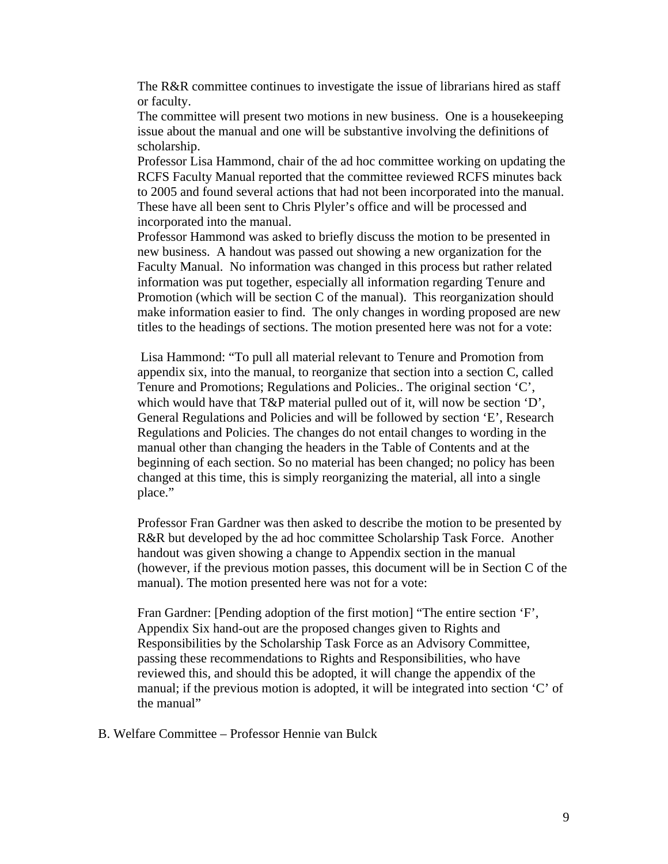The R&R committee continues to investigate the issue of librarians hired as staff or faculty.

 The committee will present two motions in new business. One is a housekeeping issue about the manual and one will be substantive involving the definitions of scholarship.

 Professor Lisa Hammond, chair of the ad hoc committee working on updating the RCFS Faculty Manual reported that the committee reviewed RCFS minutes back to 2005 and found several actions that had not been incorporated into the manual. These have all been sent to Chris Plyler's office and will be processed and incorporated into the manual.

 Professor Hammond was asked to briefly discuss the motion to be presented in new business. A handout was passed out showing a new organization for the Faculty Manual. No information was changed in this process but rather related information was put together, especially all information regarding Tenure and Promotion (which will be section C of the manual). This reorganization should make information easier to find. The only changes in wording proposed are new titles to the headings of sections. The motion presented here was not for a vote:

 Lisa Hammond: "To pull all material relevant to Tenure and Promotion from appendix six, into the manual, to reorganize that section into a section C, called Tenure and Promotions; Regulations and Policies.. The original section 'C', which would have that T&P material pulled out of it, will now be section 'D', General Regulations and Policies and will be followed by section 'E', Research Regulations and Policies. The changes do not entail changes to wording in the manual other than changing the headers in the Table of Contents and at the beginning of each section. So no material has been changed; no policy has been changed at this time, this is simply reorganizing the material, all into a single place."

 Professor Fran Gardner was then asked to describe the motion to be presented by R&R but developed by the ad hoc committee Scholarship Task Force. Another handout was given showing a change to Appendix section in the manual (however, if the previous motion passes, this document will be in Section C of the manual). The motion presented here was not for a vote:

Fran Gardner: [Pending adoption of the first motion] "The entire section 'F', Appendix Six hand-out are the proposed changes given to Rights and Responsibilities by the Scholarship Task Force as an Advisory Committee, passing these recommendations to Rights and Responsibilities, who have reviewed this, and should this be adopted, it will change the appendix of the manual; if the previous motion is adopted, it will be integrated into section 'C' of the manual"

B. Welfare Committee – Professor Hennie van Bulck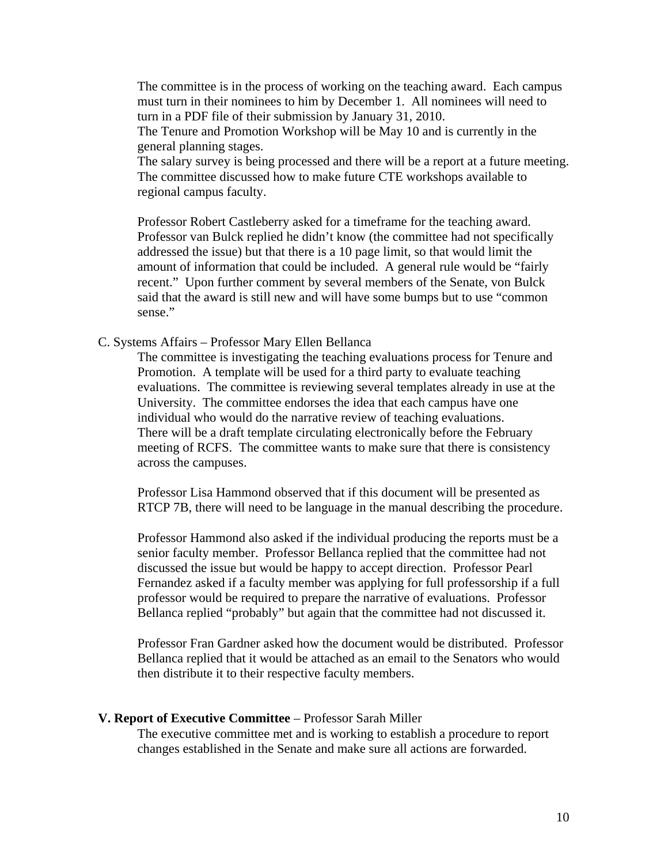The committee is in the process of working on the teaching award. Each campus must turn in their nominees to him by December 1. All nominees will need to turn in a PDF file of their submission by January 31, 2010.

 The Tenure and Promotion Workshop will be May 10 and is currently in the general planning stages.

 The salary survey is being processed and there will be a report at a future meeting. The committee discussed how to make future CTE workshops available to regional campus faculty.

 Professor Robert Castleberry asked for a timeframe for the teaching award. Professor van Bulck replied he didn't know (the committee had not specifically addressed the issue) but that there is a 10 page limit, so that would limit the amount of information that could be included. A general rule would be "fairly recent." Upon further comment by several members of the Senate, von Bulck said that the award is still new and will have some bumps but to use "common sense."

C. Systems Affairs – Professor Mary Ellen Bellanca

 The committee is investigating the teaching evaluations process for Tenure and Promotion. A template will be used for a third party to evaluate teaching evaluations. The committee is reviewing several templates already in use at the University. The committee endorses the idea that each campus have one individual who would do the narrative review of teaching evaluations. There will be a draft template circulating electronically before the February meeting of RCFS. The committee wants to make sure that there is consistency across the campuses.

 Professor Lisa Hammond observed that if this document will be presented as RTCP 7B, there will need to be language in the manual describing the procedure.

 Professor Hammond also asked if the individual producing the reports must be a senior faculty member. Professor Bellanca replied that the committee had not discussed the issue but would be happy to accept direction. Professor Pearl Fernandez asked if a faculty member was applying for full professorship if a full professor would be required to prepare the narrative of evaluations. Professor Bellanca replied "probably" but again that the committee had not discussed it.

Professor Fran Gardner asked how the document would be distributed. Professor Bellanca replied that it would be attached as an email to the Senators who would then distribute it to their respective faculty members.

#### **V. Report of Executive Committee** – Professor Sarah Miller

The executive committee met and is working to establish a procedure to report changes established in the Senate and make sure all actions are forwarded.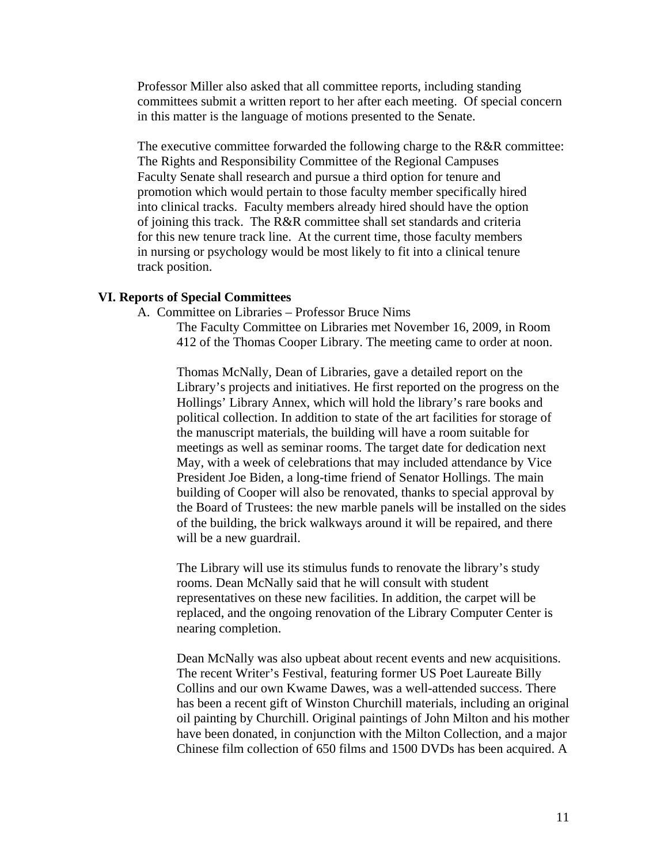Professor Miller also asked that all committee reports, including standing committees submit a written report to her after each meeting. Of special concern in this matter is the language of motions presented to the Senate.

The executive committee forwarded the following charge to the R&R committee: The Rights and Responsibility Committee of the Regional Campuses Faculty Senate shall research and pursue a third option for tenure and promotion which would pertain to those faculty member specifically hired into clinical tracks. Faculty members already hired should have the option of joining this track. The R&R committee shall set standards and criteria for this new tenure track line. At the current time, those faculty members in nursing or psychology would be most likely to fit into a clinical tenure track position.

# **VI. Reports of Special Committees**

A. Committee on Libraries – Professor Bruce Nims

The Faculty Committee on Libraries met November 16, 2009, in Room 412 of the Thomas Cooper Library. The meeting came to order at noon.

Thomas McNally, Dean of Libraries, gave a detailed report on the Library's projects and initiatives. He first reported on the progress on the Hollings' Library Annex, which will hold the library's rare books and political collection. In addition to state of the art facilities for storage of the manuscript materials, the building will have a room suitable for meetings as well as seminar rooms. The target date for dedication next May, with a week of celebrations that may included attendance by Vice President Joe Biden, a long-time friend of Senator Hollings. The main building of Cooper will also be renovated, thanks to special approval by the Board of Trustees: the new marble panels will be installed on the sides of the building, the brick walkways around it will be repaired, and there will be a new guardrail.

The Library will use its stimulus funds to renovate the library's study rooms. Dean McNally said that he will consult with student representatives on these new facilities. In addition, the carpet will be replaced, and the ongoing renovation of the Library Computer Center is nearing completion.

Dean McNally was also upbeat about recent events and new acquisitions. The recent Writer's Festival, featuring former US Poet Laureate Billy Collins and our own Kwame Dawes, was a well-attended success. There has been a recent gift of Winston Churchill materials, including an original oil painting by Churchill. Original paintings of John Milton and his mother have been donated, in conjunction with the Milton Collection, and a major Chinese film collection of 650 films and 1500 DVDs has been acquired. A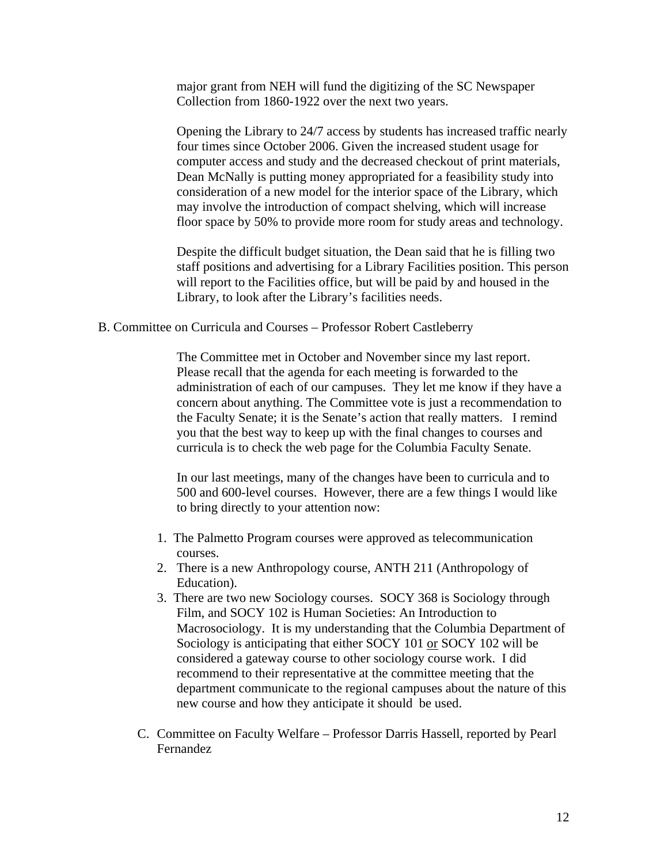major grant from NEH will fund the digitizing of the SC Newspaper Collection from 1860-1922 over the next two years.

Opening the Library to 24/7 access by students has increased traffic nearly four times since October 2006. Given the increased student usage for computer access and study and the decreased checkout of print materials, Dean McNally is putting money appropriated for a feasibility study into consideration of a new model for the interior space of the Library, which may involve the introduction of compact shelving, which will increase floor space by 50% to provide more room for study areas and technology.

Despite the difficult budget situation, the Dean said that he is filling two staff positions and advertising for a Library Facilities position. This person will report to the Facilities office, but will be paid by and housed in the Library, to look after the Library's facilities needs.

B. Committee on Curricula and Courses – Professor Robert Castleberry

The Committee met in October and November since my last report. Please recall that the agenda for each meeting is forwarded to the administration of each of our campuses. They let me know if they have a concern about anything. The Committee vote is just a recommendation to the Faculty Senate; it is the Senate's action that really matters. I remind you that the best way to keep up with the final changes to courses and curricula is to check the web page for the Columbia Faculty Senate.

In our last meetings, many of the changes have been to curricula and to 500 and 600-level courses. However, there are a few things I would like to bring directly to your attention now:

- 1. The Palmetto Program courses were approved as telecommunication courses.
- 2. There is a new Anthropology course, ANTH 211 (Anthropology of Education).
- 3. There are two new Sociology courses. SOCY 368 is Sociology through Film, and SOCY 102 is Human Societies: An Introduction to Macrosociology. It is my understanding that the Columbia Department of Sociology is anticipating that either SOCY 101 or SOCY 102 will be considered a gateway course to other sociology course work. I did recommend to their representative at the committee meeting that the department communicate to the regional campuses about the nature of this new course and how they anticipate it should be used.
- C. Committee on Faculty Welfare Professor Darris Hassell, reported by Pearl Fernandez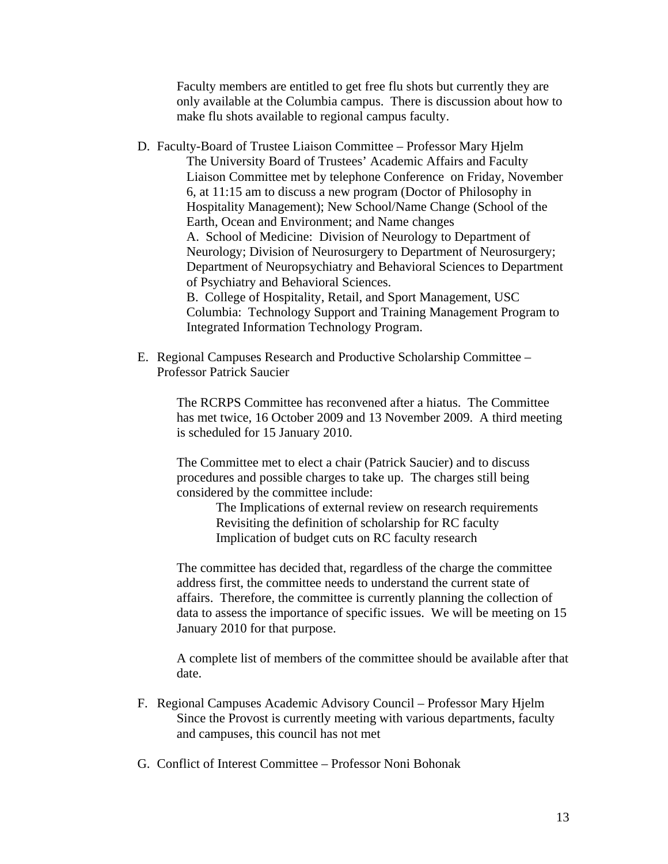Faculty members are entitled to get free flu shots but currently they are only available at the Columbia campus. There is discussion about how to make flu shots available to regional campus faculty.

- D. Faculty-Board of Trustee Liaison Committee Professor Mary Hjelm The University Board of Trustees' Academic Affairs and Faculty Liaison Committee met by telephone Conference on Friday, November 6, at 11:15 am to discuss a new program (Doctor of Philosophy in Hospitality Management); New School/Name Change (School of the Earth, Ocean and Environment; and Name changes A. School of Medicine: Division of Neurology to Department of Neurology; Division of Neurosurgery to Department of Neurosurgery; Department of Neuropsychiatry and Behavioral Sciences to Department of Psychiatry and Behavioral Sciences. B. College of Hospitality, Retail, and Sport Management, USC Columbia: Technology Support and Training Management Program to Integrated Information Technology Program.
- E. Regional Campuses Research and Productive Scholarship Committee Professor Patrick Saucier

The RCRPS Committee has reconvened after a hiatus. The Committee has met twice, 16 October 2009 and 13 November 2009. A third meeting is scheduled for 15 January 2010.

The Committee met to elect a chair (Patrick Saucier) and to discuss procedures and possible charges to take up. The charges still being considered by the committee include:

> The Implications of external review on research requirements Revisiting the definition of scholarship for RC faculty Implication of budget cuts on RC faculty research

The committee has decided that, regardless of the charge the committee address first, the committee needs to understand the current state of affairs. Therefore, the committee is currently planning the collection of data to assess the importance of specific issues. We will be meeting on 15 January 2010 for that purpose.

A complete list of members of the committee should be available after that date.

- F. Regional Campuses Academic Advisory Council Professor Mary Hjelm Since the Provost is currently meeting with various departments, faculty and campuses, this council has not met
- G. Conflict of Interest Committee Professor Noni Bohonak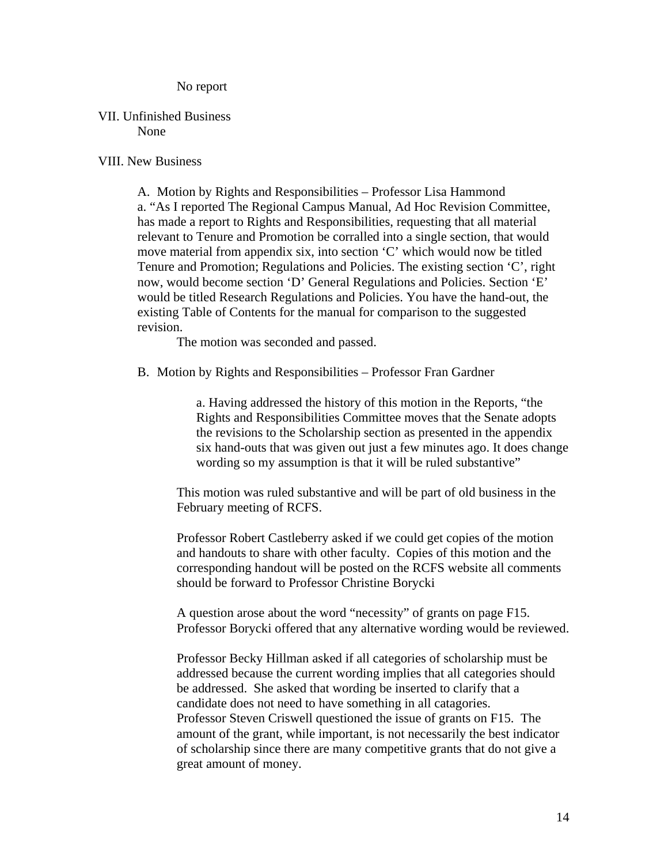No report

#### VII. Unfinished Business None

# VIII. New Business

A. Motion by Rights and Responsibilities – Professor Lisa Hammond a. "As I reported The Regional Campus Manual, Ad Hoc Revision Committee, has made a report to Rights and Responsibilities, requesting that all material relevant to Tenure and Promotion be corralled into a single section, that would move material from appendix six, into section 'C' which would now be titled Tenure and Promotion; Regulations and Policies. The existing section 'C', right now, would become section 'D' General Regulations and Policies. Section 'E' would be titled Research Regulations and Policies. You have the hand-out, the existing Table of Contents for the manual for comparison to the suggested revision.

The motion was seconded and passed.

B. Motion by Rights and Responsibilities – Professor Fran Gardner

a. Having addressed the history of this motion in the Reports, "the Rights and Responsibilities Committee moves that the Senate adopts the revisions to the Scholarship section as presented in the appendix six hand-outs that was given out just a few minutes ago. It does change wording so my assumption is that it will be ruled substantive"

This motion was ruled substantive and will be part of old business in the February meeting of RCFS.

Professor Robert Castleberry asked if we could get copies of the motion and handouts to share with other faculty. Copies of this motion and the corresponding handout will be posted on the RCFS website all comments should be forward to Professor Christine Borycki

A question arose about the word "necessity" of grants on page F15. Professor Borycki offered that any alternative wording would be reviewed.

Professor Becky Hillman asked if all categories of scholarship must be addressed because the current wording implies that all categories should be addressed. She asked that wording be inserted to clarify that a candidate does not need to have something in all catagories. Professor Steven Criswell questioned the issue of grants on F15. The amount of the grant, while important, is not necessarily the best indicator of scholarship since there are many competitive grants that do not give a great amount of money.